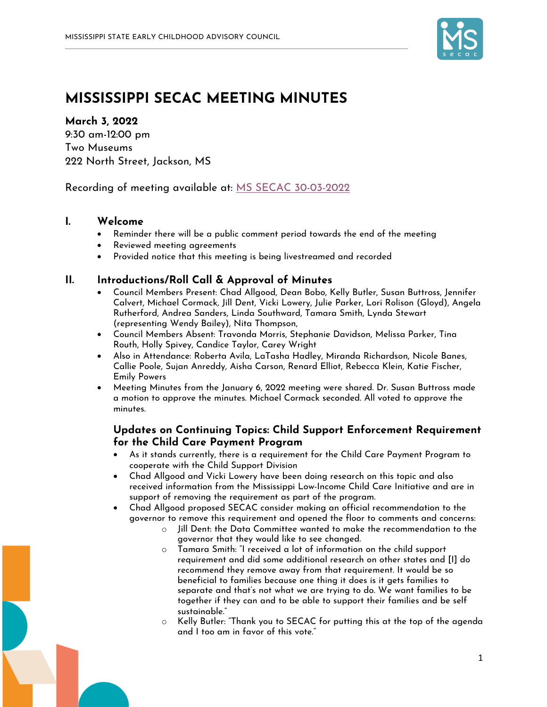

# **MISSISSIPPI SECAC MEETING MINUTES**

#### **March 3, 2022**

9:30 am-12:00 pm Two Museums 222 North Street, Jackson, MS

Recording of meeting available at: MS SECAC 30-03-2022

### **I. Welcome**

- Reminder there will be a public comment period towards the end of the meeting
- Reviewed meeting agreements
- Provided notice that this meeting is being livestreamed and recorded

### **II. Introductions/Roll Call & Approval of Minutes**

- Council Members Present: Chad Allgood, Dean Bobo, Kelly Butler, Susan Buttross, Jennifer Calvert, Michael Cormack, Jill Dent, Vicki Lowery, Julie Parker, Lori Rolison (Gloyd), Angela Rutherford, Andrea Sanders, Linda Southward, Tamara Smith, Lynda Stewart (representing Wendy Bailey), Nita Thompson,
- Council Members Absent: Travonda Morris, Stephanie Davidson, Melissa Parker, Tina Routh, Holly Spivey, Candice Taylor, Carey Wright
- Also in Attendance: Roberta Avila, LaTasha Hadley, Miranda Richardson, Nicole Banes, Callie Poole, Sujan Anreddy, Aisha Carson, Renard Elliot, Rebecca Klein, Katie Fischer, Emily Powers
- Meeting Minutes from the January 6, 2022 meeting were shared. Dr. Susan Buttross made a motion to approve the minutes. Michael Cormack seconded. All voted to approve the minutes.

## **Updates on Continuing Topics: Child Support Enforcement Requirement for the Child Care Payment Program**

- As it stands currently, there is a requirement for the Child Care Payment Program to cooperate with the Child Support Division
- Chad Allgood and Vicki Lowery have been doing research on this topic and also received information from the Mississippi Low-Income Child Care Initiative and are in support of removing the requirement as part of the program.
- Chad Allgood proposed SECAC consider making an official recommendation to the governor to remove this requirement and opened the floor to comments and concerns:
	- $\circ$  )ill Dent: the Data Committee wanted to make the recommendation to the governor that they would like to see changed.
	- o Tamara Smith: "I received a lot of information on the child support requirement and did some additional research on other states and [I] do recommend they remove away from that requirement. It would be so beneficial to families because one thing it does is it gets families to separate and that's not what we are trying to do. We want families to be together if they can and to be able to support their families and be self sustainable."
	- o Kelly Butler: "Thank you to SECAC for putting this at the top of the agenda and I too am in favor of this vote."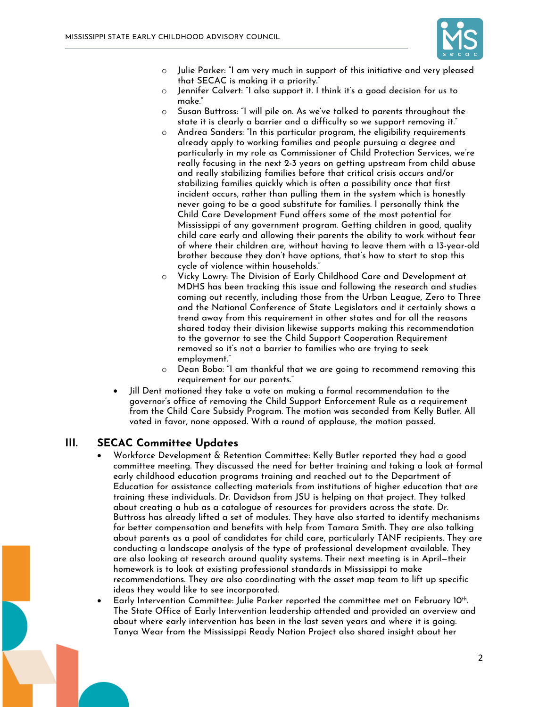

- $\circ$  Julie Parker: "I am very much in support of this initiative and very pleased that SECAC is making it a priority."
- o Jennifer Calvert: "I also support it. I think it's a good decision for us to make."
- o Susan Buttross: "I will pile on. As we've talked to parents throughout the state it is clearly a barrier and a difficulty so we support removing it."
- o Andrea Sanders: "In this particular program, the eligibility requirements already apply to working families and people pursuing a degree and particularly in my role as Commissioner of Child Protection Services, we're really focusing in the next 2-3 years on getting upstream from child abuse and really stabilizing families before that critical crisis occurs and/or stabilizing families quickly which is often a possibility once that first incident occurs, rather than pulling them in the system which is honestly never going to be a good substitute for families. I personally think the Child Care Development Fund offers some of the most potential for Mississippi of any government program. Getting children in good, quality child care early and allowing their parents the ability to work without fear of where their children are, without having to leave them with a 13-year-old brother because they don't have options, that's how to start to stop this cycle of violence within households."
- o Vicky Lowry: The Division of Early Childhood Care and Development at MDHS has been tracking this issue and following the research and studies coming out recently, including those from the Urban League, Zero to Three and the National Conference of State Legislators and it certainly shows a trend away from this requirement in other states and for all the reasons shared today their division likewise supports making this recommendation to the governor to see the Child Support Cooperation Requirement removed so it's not a barrier to families who are trying to seek employment."
- o Dean Bobo: "I am thankful that we are going to recommend removing this requirement for our parents."
- Jill Dent motioned they take a vote on making a formal recommendation to the governor's office of removing the Child Support Enforcement Rule as a requirement from the Child Care Subsidy Program. The motion was seconded from Kelly Butler. All voted in favor, none opposed. With a round of applause, the motion passed.

#### **III. SECAC Committee Updates**

- Workforce Development & Retention Committee: Kelly Butler reported they had a good committee meeting. They discussed the need for better training and taking a look at formal early childhood education programs training and reached out to the Department of Education for assistance collecting materials from institutions of higher education that are training these individuals. Dr. Davidson from JSU is helping on that project. They talked about creating a hub as a catalogue of resources for providers across the state. Dr. Buttross has already lifted a set of modules. They have also started to identify mechanisms for better compensation and benefits with help from Tamara Smith. They are also talking about parents as a pool of candidates for child care, particularly TANF recipients. They are conducting a landscape analysis of the type of professional development available. They are also looking at research around quality systems. Their next meeting is in April—their homework is to look at existing professional standards in Mississippi to make recommendations. They are also coordinating with the asset map team to lift up specific ideas they would like to see incorporated.
- Early Intervention Committee: Julie Parker reported the committee met on February 10<sup>th</sup>. The State Office of Early Intervention leadership attended and provided an overview and about where early intervention has been in the last seven years and where it is going. Tanya Wear from the Mississippi Ready Nation Project also shared insight about her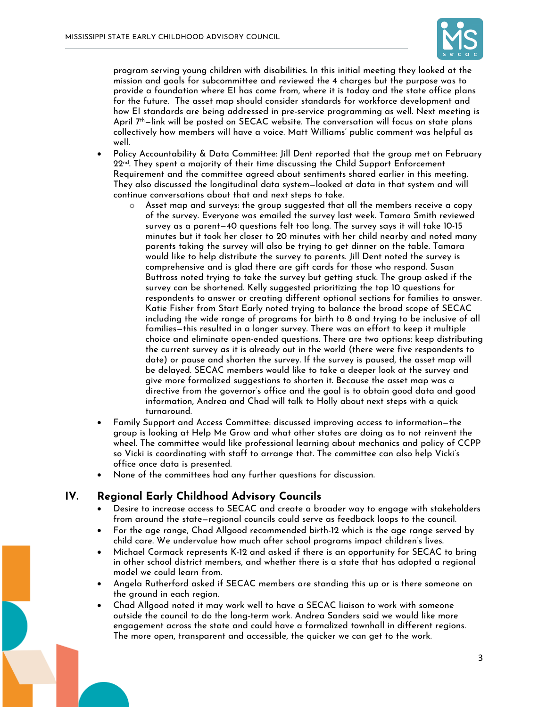

program serving young children with disabilities. In this initial meeting they looked at the mission and goals for subcommittee and reviewed the 4 charges but the purpose was to provide a foundation where EI has come from, where it is today and the state office plans for the future. The asset map should consider standards for workforce development and how EI standards are being addressed in pre-service programming as well. Next meeting is April 7th—link will be posted on SECAC website. The conversation will focus on state plans collectively how members will have a voice. Matt Williams' public comment was helpful as well.

- Policy Accountability & Data Committee: Jill Dent reported that the group met on February  $22<sup>nd</sup>$ . They spent a majority of their time discussing the Child Support Enforcement Requirement and the committee agreed about sentiments shared earlier in this meeting. They also discussed the longitudinal data system—looked at data in that system and will continue conversations about that and next steps to take.
	- $\circ$  Asset map and surveys: the group suggested that all the members receive a copy of the survey. Everyone was emailed the survey last week. Tamara Smith reviewed survey as a parent—40 questions felt too long. The survey says it will take 10-15 minutes but it took her closer to 20 minutes with her child nearby and noted many parents taking the survey will also be trying to get dinner on the table. Tamara would like to help distribute the survey to parents. Jill Dent noted the survey is comprehensive and is glad there are gift cards for those who respond. Susan Buttross noted trying to take the survey but getting stuck. The group asked if the survey can be shortened. Kelly suggested prioritizing the top 10 questions for respondents to answer or creating different optional sections for families to answer. Katie Fisher from Start Early noted trying to balance the broad scope of SECAC including the wide range of programs for birth to 8 and trying to be inclusive of all families—this resulted in a longer survey. There was an effort to keep it multiple choice and eliminate open-ended questions. There are two options: keep distributing the current survey as it is already out in the world (there were five respondents to date) or pause and shorten the survey. If the survey is paused, the asset map will be delayed. SECAC members would like to take a deeper look at the survey and give more formalized suggestions to shorten it. Because the asset map was a directive from the governor's office and the goal is to obtain good data and good information, Andrea and Chad will talk to Holly about next steps with a quick turnaround.
- Family Support and Access Committee: discussed improving access to information—the group is looking at Help Me Grow and what other states are doing as to not reinvent the wheel. The committee would like professional learning about mechanics and policy of CCPP so Vicki is coordinating with staff to arrange that. The committee can also help Vicki's office once data is presented.
- None of the committees had any further questions for discussion.

#### **IV. Regional Early Childhood Advisory Councils**

- Desire to increase access to SECAC and create a broader way to engage with stakeholders from around the state—regional councils could serve as feedback loops to the council.
- For the age range, Chad Allgood recommended birth-12 which is the age range served by child care. We undervalue how much after school programs impact children's lives.
- Michael Cormack represents K-12 and asked if there is an opportunity for SECAC to bring in other school district members, and whether there is a state that has adopted a regional model we could learn from.
- Angela Rutherford asked if SECAC members are standing this up or is there someone on the ground in each region.
- Chad Allgood noted it may work well to have a SECAC liaison to work with someone outside the council to do the long-term work. Andrea Sanders said we would like more engagement across the state and could have a formalized townhall in different regions. The more open, transparent and accessible, the quicker we can get to the work.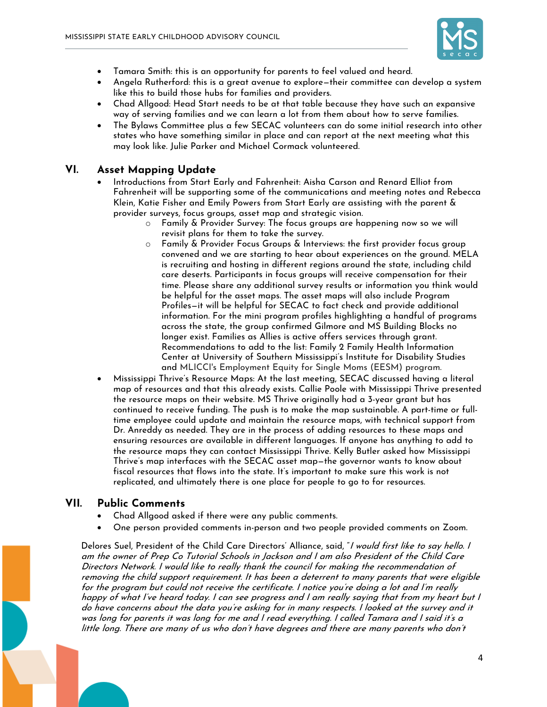

- Tamara Smith: this is an opportunity for parents to feel valued and heard.
- Angela Rutherford: this is a great avenue to explore—their committee can develop a system like this to build those hubs for families and providers.
- Chad Allgood: Head Start needs to be at that table because they have such an expansive way of serving families and we can learn a lot from them about how to serve families.
- The Bylaws Committee plus a few SECAC volunteers can do some initial research into other states who have something similar in place and can report at the next meeting what this may look like. Julie Parker and Michael Cormack volunteered.

## **VI. Asset Mapping Update**

- Introductions from Start Early and Fahrenheit: Aisha Carson and Renard Elliot from Fahrenheit will be supporting some of the communications and meeting notes and Rebecca Klein, Katie Fisher and Emily Powers from Start Early are assisting with the parent & provider surveys, focus groups, asset map and strategic vision.
	- o Family & Provider Survey: The focus groups are happening now so we will revisit plans for them to take the survey.
	- o Family & Provider Focus Groups & Interviews: the first provider focus group convened and we are starting to hear about experiences on the ground. MELA is recruiting and hosting in different regions around the state, including child care deserts. Participants in focus groups will receive compensation for their time. Please share any additional survey results or information you think would be helpful for the asset maps. The asset maps will also include Program Profiles—it will be helpful for SECAC to fact check and provide additional information. For the mini program profiles highlighting a handful of programs across the state, the group confirmed Gilmore and MS Building Blocks no longer exist. Families as Allies is active offers services through grant. Recommendations to add to the list: Family 2 Family Health Information Center at University of Southern Mississippi's Institute for Disability Studies and MLICCI's Employment Equity for Single Moms (EESM) program.
- Mississippi Thrive's Resource Maps: At the last meeting, SECAC discussed having a literal map of resources and that this already exists. Callie Poole with Mississippi Thrive presented the resource maps on their website. MS Thrive originally had a 3-year grant but has continued to receive funding. The push is to make the map sustainable. A part-time or fulltime employee could update and maintain the resource maps, with technical support from Dr. Anreddy as needed. They are in the process of adding resources to these maps and ensuring resources are available in different languages. If anyone has anything to add to the resource maps they can contact Mississippi Thrive. Kelly Butler asked how Mississippi Thrive's map interfaces with the SECAC asset map—the governor wants to know about fiscal resources that flows into the state. It's important to make sure this work is not replicated, and ultimately there is one place for people to go to for resources.

#### **VII. Public Comments**

- Chad Allgood asked if there were any public comments.
- One person provided comments in-person and two people provided comments on Zoom.

Delores Suel, President of the Child Care Directors' Alliance, said, "*I would first like to say hello. I* am the owner of Prep Co Tutorial Schools in Jackson and I am also President of the Child Care Directors Network. I would like to really thank the council for making the recommendation of removing the child support requirement. It has been a deterrent to many parents that were eligible for the program but could not receive the certificate. I notice you're doing a lot and I'm really happy of what I've heard today. I can see progress and I am really saying that from my heart but I do have concerns about the data you're asking for in many respects. I looked at the survey and it was long for parents it was long for me and I read everything. I called Tamara and I said it's a little long. There are many of us who don't have degrees and there are many parents who don't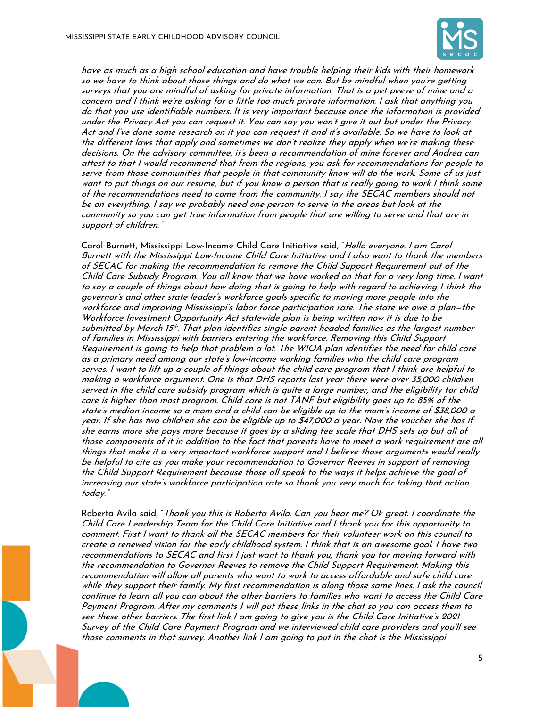

have as much as a high school education and have trouble helping their kids with their homework so we have to think about those things and do what we can. But be mindful when you're getting surveys that you are mindful of asking for private information. That is a pet peeve of mine and a concern and I think we're asking for a little too much private information. I ask that anything you do that you use identifiable numbers. It is very important because once the information is provided under the Privacy Act you can request it. You can say you won't give it out but under the Privacy Act and I've done some research on it you can request it and it's available. So we have to look at the different laws that apply and sometimes we don't realize they apply when we're making these decisions. On the advisory committee, it's been a recommendation of mine forever and Andrea can attest to that I would recommend that from the regions, you ask for recommendations for people to serve from those communities that people in that community know will do the work. Some of us just want to put things on our resume, but if you know a person that is really going to work I think some of the recommendations need to come from the community. I say the SECAC members should not be on everything. I say we probably need one person to serve in the areas but look at the community so you can get true information from people that are willing to serve and that are in support of children."

Carol Burnett, Mississippi Low-Income Child Care Initiative said, "Hello everyone. I am Carol Burnett with the Mississippi Low-Income Child Care Initiative and I also want to thank the members of SECAC for making the recommendation to remove the Child Support Requirement out of the Child Care Subsidy Program. You all know that we have worked on that for a very long time. I want to say a couple of things about how doing that is going to help with regard to achieving I think the governor's and other state leader's workforce goals specific to moving more people into the workforce and improving Mississippi's labor force participation rate. The state we owe a plan—the Workforce Investment Opportunity Act statewide plan is being written now it is due to be submitted by March 15th. That plan identifies single parent headed families as the largest number of families in Mississippi with barriers entering the workforce. Removing this Child Support Requirement is going to help that problem a lot. The WIOA plan identifies the need for child care as a primary need among our state's low-income working families who the child care program serves. I want to lift up a couple of things about the child care program that I think are helpful to making a workforce argument. One is that DHS reports last year there were over 35,000 children served in the child care subsidy program which is quite a large number, and the eligibility for child care is higher than most program. Child care is not TANF but eligibility goes up to 85% of the state's median income so a mom and a child can be eligible up to the mom's income of \$38,000 a year. If she has two children she can be eligible up to \$47,000 a year. Now the voucher she has if she earns more she pays more because it goes by a sliding fee scale that DHS sets up but all of those components of it in addition to the fact that parents have to meet a work requirement are all things that make it a very important workforce support and I believe those arguments would really be helpful to cite as you make your recommendation to Governor Reeves in support of removing the Child Support Requirement because those all speak to the ways it helps achieve the goal of increasing our state's workforce participation rate so thank you very much for taking that action today."

Roberta Avila said, "Thank you this is Roberta Avila. Can you hear me? Ok great. I coordinate the Child Care Leadership Team for the Child Care Initiative and I thank you for this opportunity to comment. First I want to thank all the SECAC members for their volunteer work on this council to create a renewed vision for the early childhood system. I think that is an awesome goal. I have two recommendations to SECAC and first I just want to thank you, thank you for moving forward with the recommendation to Governor Reeves to remove the Child Support Requirement. Making this recommendation will allow all parents who want to work to access affordable and safe child care while they support their family. My first recommendation is along those same lines. I ask the council continue to learn all you can about the other barriers to families who want to access the Child Care Payment Program. After my comments I will put these links in the chat so you can access them to see these other barriers. The first link I am going to give you is the Child Care Initiative's 2021 Survey of the Child Care Payment Program and we interviewed child care providers and you'll see those comments in that survey. Another link I am going to put in the chat is the Mississippi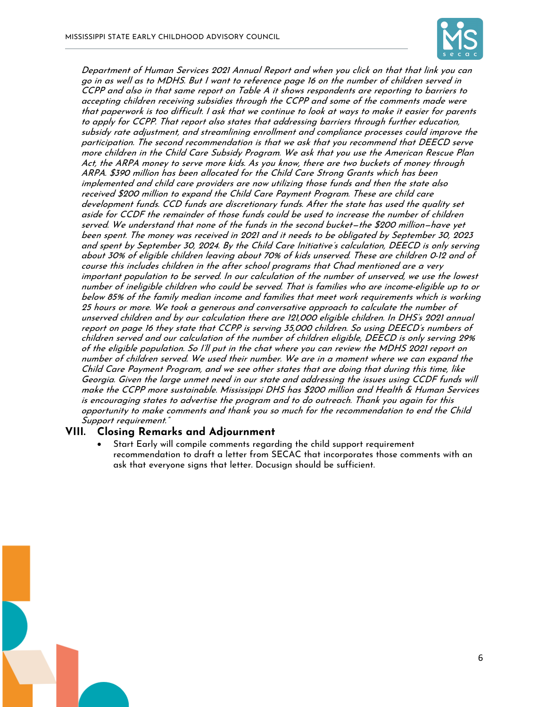

Department of Human Services 2021 Annual Report and when you click on that that link you can go in as well as to MDHS. But I want to reference page 16 on the number of children served in CCPP and also in that same report on Table A it shows respondents are reporting to barriers to accepting children receiving subsidies through the CCPP and some of the comments made were that paperwork is too difficult. I ask that we continue to look at ways to make it easier for parents to apply for CCPP. That report also states that addressing barriers through further education, subsidy rate adjustment, and streamlining enrollment and compliance processes could improve the participation. The second recommendation is that we ask that you recommend that DEECD serve more children in the Child Care Subsidy Program. We ask that you use the American Rescue Plan Act, the ARPA money to serve more kids. As you know, there are two buckets of money through ARPA. \$390 million has been allocated for the Child Care Strong Grants which has been implemented and child care providers are now utilizing those funds and then the state also received \$200 million to expand the Child Care Payment Program. These are child care development funds. CCD funds are discretionary funds. After the state has used the quality set aside for CCDF the remainder of those funds could be used to increase the number of children served. We understand that none of the funds in the second bucket—the \$200 million—have yet been spent. The money was received in 2021 and it needs to be obligated by September 30, 2023 and spent by September 30, 2024. By the Child Care Initiative's calculation, DEECD is only serving about 30% of eligible children leaving about 70% of kids unserved. These are children 0-12 and of course this includes children in the after school programs that Chad mentioned are a very important population to be served. In our calculation of the number of unserved, we use the lowest number of ineligible children who could be served. That is families who are income-eligible up to or below 85% of the family median income and families that meet work requirements which is working 25 hours or more. We took a generous and conversative approach to calculate the number of unserved children and by our calculation there are 121,000 eligible children. In DHS's 2021 annual report on page 16 they state that CCPP is serving 35,000 children. So using DEECD's numbers of children served and our calculation of the number of children eligible, DEECD is only serving 29% of the eligible population. So I'll put in the chat where you can review the MDHS 2021 report on number of children served. We used their number. We are in a moment where we can expand the Child Care Payment Program, and we see other states that are doing that during this time, like Georgia. Given the large unmet need in our state and addressing the issues using CCDF funds will make the CCPP more sustainable. Mississippi DHS has \$200 million and Health & Human Services is encouraging states to advertise the program and to do outreach. Thank you again for this opportunity to make comments and thank you so much for the recommendation to end the Child Support requirement."

## **VIII. Closing Remarks and Adjournment**

• Start Early will compile comments regarding the child support requirement recommendation to draft a letter from SECAC that incorporates those comments with an ask that everyone signs that letter. Docusign should be sufficient.

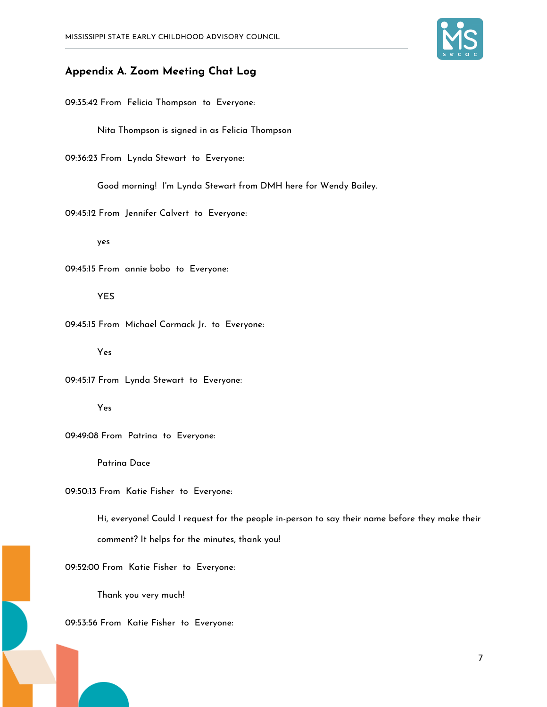

## **Appendix A. Zoom Meeting Chat Log**

09:35:42 From Felicia Thompson to Everyone:

Nita Thompson is signed in as Felicia Thompson

09:36:23 From Lynda Stewart to Everyone:

Good morning! I'm Lynda Stewart from DMH here for Wendy Bailey.

09:45:12 From Jennifer Calvert to Everyone:

yes

09:45:15 From annie bobo to Everyone:

YES

09:45:15 From Michael Cormack Jr. to Everyone:

Yes

09:45:17 From Lynda Stewart to Everyone:

Yes

09:49:08 From Patrina to Everyone:

Patrina Dace

09:50:13 From Katie Fisher to Everyone:

Hi, everyone! Could I request for the people in-person to say their name before they make their comment? It helps for the minutes, thank you!

09:52:00 From Katie Fisher to Everyone:

Thank you very much!

09:53:56 From Katie Fisher to Everyone: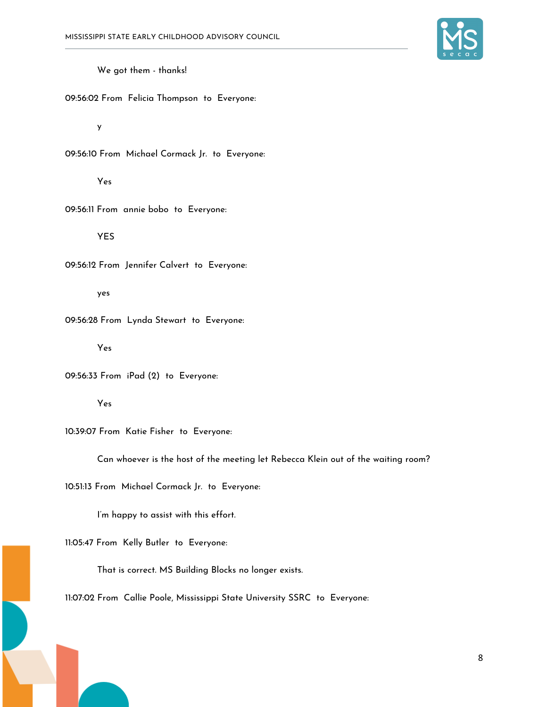

We got them - thanks!

09:56:02 From Felicia Thompson to Everyone:

y

09:56:10 From Michael Cormack Jr. to Everyone:

Yes

09:56:11 From annie bobo to Everyone:

YES

09:56:12 From Jennifer Calvert to Everyone:

yes

09:56:28 From Lynda Stewart to Everyone:

Yes

09:56:33 From iPad (2) to Everyone:

Yes

10:39:07 From Katie Fisher to Everyone:

Can whoever is the host of the meeting let Rebecca Klein out of the waiting room?

10:51:13 From Michael Cormack Jr. to Everyone:

I'm happy to assist with this effort.

11:05:47 From Kelly Butler to Everyone:

That is correct. MS Building Blocks no longer exists.

11:07:02 From Callie Poole, Mississippi State University SSRC to Everyone: